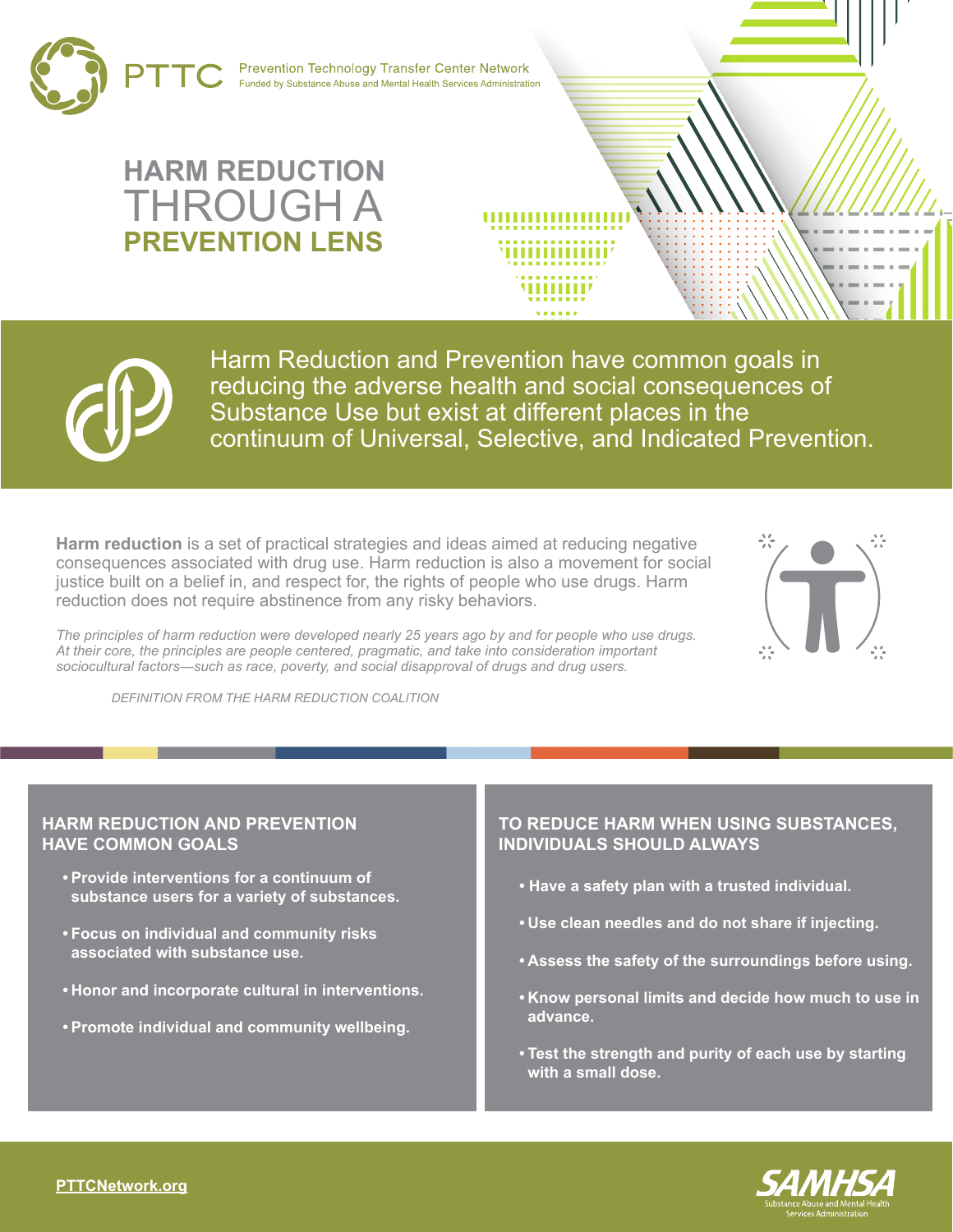

**Prevention Technology Transfer Center Network** Funded by Substance Abuse and Mental Health Services Administration

## **HARM REDUCTION** THROUGH A **PREVENTION LENS**



Harm Reduction and Prevention have common goals in reducing the adverse health and social consequences of Substance Use but exist at different places in the continuum of Universal, Selective, and Indicated Prevention.

,,,,,,,,,

. . . . . . . .

**Harm reduction** is a set of practical strategies and ideas aimed at reducing negative consequences associated with drug use. Harm reduction is also a movement for social justice built on a belief in, and respect for, the rights of people who use drugs. Harm reduction does not require abstinence from any risky behaviors.



*The principles of harm reduction were developed nearly 25 years ago by and for people who use drugs. At their core, the principles are people centered, pragmatic, and take into consideration important sociocultural factors—such as race, poverty, and social disapproval of drugs and drug users.*

 *DEFINITION FROM THE HARM REDUCTION COALITION*

## **HARM REDUCTION AND PREVENTION HAVE COMMON GOALS**

- **• Provide interventions for a continuum of substance users for a variety of substances.**
- **• Focus on individual and community risks associated with substance use.**
- **• Honor and incorporate cultural in interventions.**
- **• Promote individual and community wellbeing.**

## **TO REDUCE HARM WHEN USING SUBSTANCES, INDIVIDUALS SHOULD ALWAYS**

- **Have a safety plan with a trusted individual.**
- **• Use clean needles and do not share if injecting.**
- **• Assess the safety of the surroundings before using.**
- **• Know personal limits and decide how much to use in advance.**
- **• Test the strength and purity of each use by starting with a small dose.**